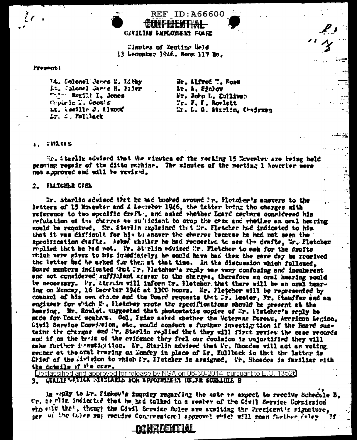**CIVILIAN LAPLOYIENT FORRE** 

CONFIDENTIAL

**REF ID:A66600** 

Finutes of Zecting Weld 13 Lecenter 1946. Room 117 Ho.

### Present!

W. Colonel Jarcs N. Libby Lt. Madel Jarse B. Itier "-'- Regill I, Jones Preurla I, Coom! E Lt. tueille J. Limoof Lr. 2. Mullack

Wr. Alfred T. Rose Ir. A. Sinhow Fr. John L. Cullives  $r = r$ ,  $r = k$  are lett Mr. L. G. Starlin, Chairman ⋰

ذتم

 $\div$ 

Ţ.

ż.

#### 1. : IMTIS

We. Sterlin advised that the rinutes of the meeting 15 November are being held pending repair of the ditto rathine. The minutes of the meeting 1 hoverter were not approved and will be revised.

#### 2. FLLTCHLR CISL

Er. Starliz scylacd that he had bughed around Fr. Flotcher's answers to the letters of 15 November and  $\Delta$  Lewerker 1946, the latter being the charges with reterence to two specific draft, and asked whether Loard senters considered his refutation of the charges as su'defent to arop the case and whether an oral hearing sould be required. Wr. Starlin sxpleined that Mr. Fletcher had indiceted to him that it was difficult for him to answer the charres tecarac he had not seen the acceification duafts. Asked whather he had requested to see the drafts, Wr. Fletcher replied that he hed not. Wr. Sturlin sdyised Mr. Fletcher to sek for the drafts milch were given to him immediately; he could have had then the same day he received the letter had be asked for them at that time. In the discussion which followed. Board renters indicated that Ir. Hetcher's reply was very confusing and incoherent and not considered sufficient atever to the charges, therefore an oral hearing pould tw necessary. Ur. Stavish will inform fr. Hatcher that there will be an oral hearing on Fencey, 16 Decwnter 1946 at 1300 hours. Er. Hetcher will be represented by counsel of his own choice and the Board requests that Mr. Leeter, Mr. Stauffer and an engineer for witch E., Hietcher wrote the specifications should be present at the hearing. Mr. Rowlet. waggested that photostatic copies of Mr. Hetcher's reply be mude for Doard members. Col. Irier asked whether the Veterans Eureau, Arcrican Legion. Civil Service Committion, atc. would conduct a further investig tion if the Board sustains the charges and "r. Sterlin replied that they will first review the case records and if on the brit of the evidence they feel our decision is unjustified they will make further intestigation. Fr. Starlin advised that Fr. Rhosdes will act as voting rember at the GT&l hearing on Monday in place of Dr. Kullback in that the latter is Chief of the livision to thich Ir. Iletcher is assigned. Ur. Shoodes is familiar with the cotails if  $P \bullet \csc \bullet$ .

Declassified and approved for release by NSA on 06-30-2014 pursuant to E.O. 13526 3. GUALIFUETION STATIARIS FOR APPOINTMENT IN FR SCHELULE B

In .ply to ir. Sinkov's inquiry regarding the cate te expect to receive Schedule B. Ur, is flit indicated that he had talked to a sember of the Civil Service Corriesion who said that, though the Civil Service fules are ausiting the President's signature, ner ui the folke may recuire Confressional approval which will mean further delay 11

<u> Connistuis NTIAI</u>